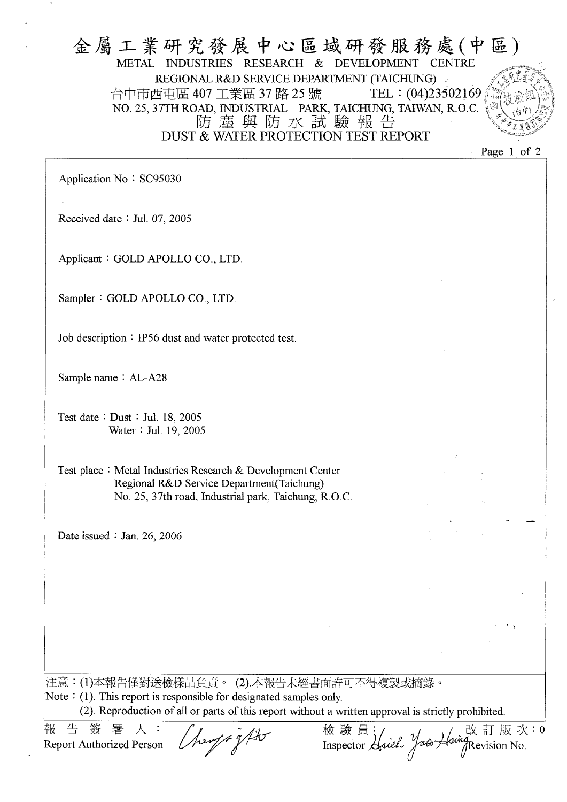#### 金屬工業研究發展中心區域研發服務處(中區) METAL INDUSTRIES RESEARCH & DEVELOPMENT CENTRE REGIONAL R&D SERVICE DEPARTMENT (TAICHUNG) 台中市西屯區 407 工業區 37 路 25 號 TEL: (04)23502169 NO. 25, 37TH ROAD, INDUSTRIAL PARK, TAICHUNG, TAIWAN, R.O.C. 防塵與防水試驗報告 DUST & WATER PROTECTION TEST REPORT

Page 1 of 2

Application No: SC95030

Received date: Jul. 07, 2005

Applicant: GOLD APOLLO CO., LTD.

Sampler: GOLD APOLLO CO., LTD.

Job description : IP56 dust and water protected test.

Sample name: AL-A28

Test date: Dust: Jul. 18, 2005 Water: Jul. 19, 2005

Test place: Metal Industries Research & Development Center Regional R&D Service Department (Taichung) No. 25, 37th road, Industrial park, Taichung, R.O.C.

Date issued: Jan. 26, 2006

|注意:(1)本報告僅對送檢樣品負責。 (2).本報告未經書面許可不得複製或摘錄。 Note  $\colon$  (1). This report is responsible for designated samples only.

(2). Reproduction of all or parts of this report without a written approval is strictly prohibited.

報 告 答 **Report Authorized Person** 

霙

herof + g ft

改訂版次:0 Inspector Haiel Yaco Hoing Revision No.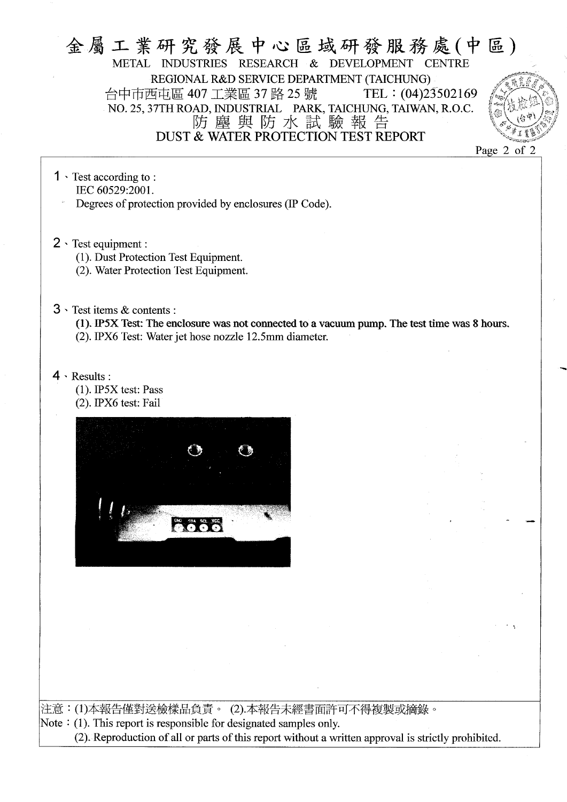## 金屬工業研究發展中心區域研發服務處(中區) METAL INDUSTRIES RESEARCH & DEVELOPMENT CENTRE REGIONAL R&D SERVICE DEPARTMENT (TAICHUNG) 台中市西屯區 407 工業區 37 路 25 號 TEL: (04)23502169 NO. 25, 37TH ROAD, INDUSTRIAL PARK, TAICHUNG, TAIWAN, R.O.C. 防塵與防水試驗報告 DUST & WATER PROTECTION TEST REPORT



- $1 \cdot$  Test according to: IEC 60529:2001. Degrees of protection provided by enclosures (IP Code).
- $2 \cdot$  Test equipment :
	- (1). Dust Protection Test Equipment.

(2). Water Protection Test Equipment.

 $3 \cdot$  Test items & contents:

(1). IP5X Test: The enclosure was not connected to a vacuum pump. The test time was 8 hours. (2). IPX6 Test: Water jet hose nozzle 12.5mm diameter.

 $4 \cdot$  Results:

 $(1)$ . IP5X test: Pass (2). IPX6 test: Fail



|注意:(1)本報告僅對送檢樣品負責。 (2).本報告未經書面許可不得複製或摘錄。 Note  $\div$  (1). This report is responsible for designated samples only. (2). Reproduction of all or parts of this report without a written approval is strictly prohibited.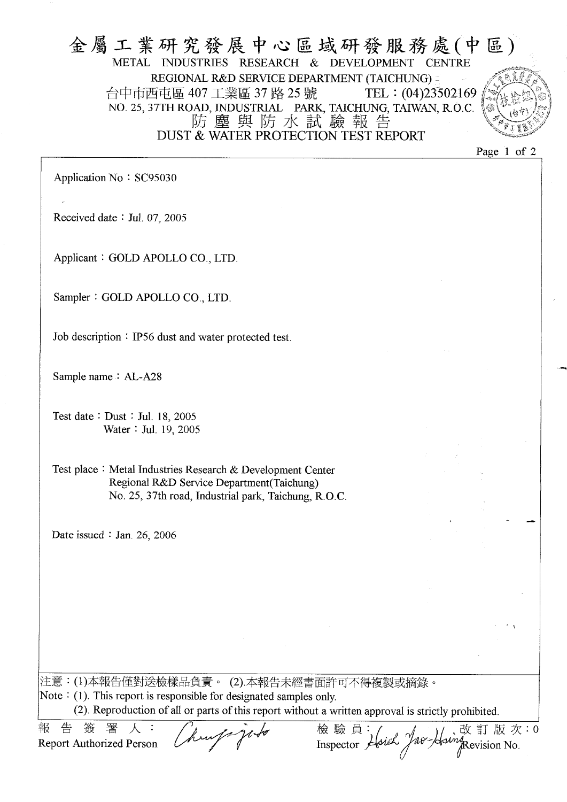#### 金屬工業研究發展中心區域研發服務處(中區) METAL INDUSTRIES RESEARCH & DEVELOPMENT CENTRE REGIONAL R&D SERVICE DEPARTMENT (TAICHUNG) = 台中市西屯區 407 工業區 37 路 25 號 TEL:  $(04)23502169$ NO. 25, 37TH ROAD, INDUSTRIAL PARK, TAICHUNG, TAIWAN, R.O.C. 防塵與防水試驗報告 DUST & WATER PROTECTION TEST REPORT

Page 1 of 2

Application No: SC95030

Received date: Jul. 07, 2005

Applicant: GOLD APOLLO CO., LTD.

Sampler: GOLD APOLLO CO., LTD.

Job description: IP56 dust and water protected test.

Sample name: AL-A28

Test date: Dust: Jul. 18, 2005 Water: Jul. 19, 2005

Test place: Metal Industries Research & Development Center Regional R&D Service Department (Taichung) No. 25, 37th road, Industrial park, Taichung, R.O.C.

Date issued  $\therefore$  Jan. 26, 2006

|注意:(1)本報告僅對送檢樣品負責。 (2).本報告未經書面許可不得複製或摘錄。 Note  $\colon$  (1). This report is responsible for designated samples only. (2). Reproduction of all or parts of this report without a written approval is strictly prohibited.

睪 告 笭 報 **Report Authorized Person** 

改訂版次:0 Inspector Horek Jae-Houng Revision No.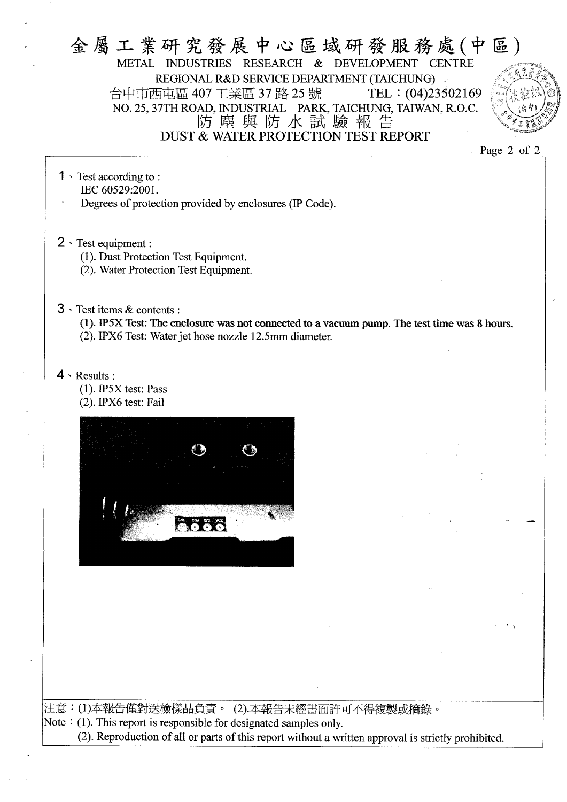#### 金屬工業研究發展中心區域研發服務處(中區) METAL INDUSTRIES RESEARCH & DEVELOPMENT CENTRE REGIONAL R&D SERVICE DEPARTMENT (TAICHUNG) 台中市西屯區 407 工業區 37 路 25 號 TEL:  $(04)23502169$ NO. 25, 37TH ROAD, INDUSTRIAL PARK, TAICHUNG, TAIWAN, R.O.C. 防塵與防水試驗報告 DUST & WATER PROTECTION TEST REPORT

Page 2 of 2

- $1 \cdot$  Test according to: IEC 60529:2001. Degrees of protection provided by enclosures (IP Code).
- $2 \cdot$  Test equipment :
	- (1). Dust Protection Test Equipment.
	- (2). Water Protection Test Equipment.
- $3 \cdot$  Test items & contents :
	- (1). IP5X Test: The enclosure was not connected to a vacuum pump. The test time was 8 hours. (2). IPX6 Test: Water jet hose nozzle 12.5mm diameter.
- $4 \cdot$  Results:
	- $(1)$ . IP5X test: Pass
	- (2). IPX6 test: Fail



注意:(1)本報告僅對送檢樣品負責。(2).本報告未經書面許可不得複製或摘錄。 Note  $\colon$  (1). This report is responsible for designated samples only.

(2). Reproduction of all or parts of this report without a written approval is strictly prohibited.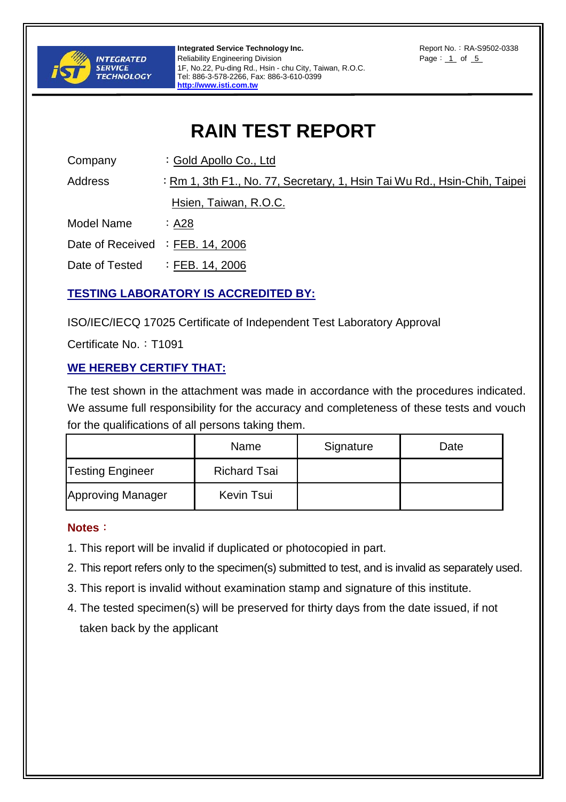

**Integrated Service Technology Inc.** And The Report No.: RA-S9502-0338 Reliability Engineering Division **Page: 1 of 5** 1F, No.22, Pu-ding Rd., Hsin - chu City, Taiwan, R.O.C. Tel: 886-3-578-2266, Fax: 886-3-610-0399 **http://www.isti.com.tw**

# **RAIN TEST REPORT**

Company : Gold Apollo Co., Ltd

Address : Rm 1, 3th F1., No. 77, Secretary, 1, Hsin Tai Wu Rd., Hsin-Chih, Taipei

Hsien, Taiwan, R.O.C.

Model Name : A28

Date of Received : FEB. 14, 2006

Date of Tested : FEB. 14, 2006

## **TESTING LABORATORY IS ACCREDITED BY:**

ISO/IEC/IECQ 17025 Certificate of Independent Test Laboratory Approval

Certificate No.: T1091

## **WE HEREBY CERTIFY THAT:**

The test shown in the attachment was made in accordance with the procedures indicated. We assume full responsibility for the accuracy and completeness of these tests and vouch for the qualifications of all persons taking them.

|                          | Name                | Signature | Date |
|--------------------------|---------------------|-----------|------|
| <b>Testing Engineer</b>  | <b>Richard Tsai</b> |           |      |
| <b>Approving Manager</b> | Kevin Tsui          |           |      |

## **Notes**:

- 1. This report will be invalid if duplicated or photocopied in part.
- 2. This report refers only to the specimen(s) submitted to test, and is invalid as separately used.
- 3. This report is invalid without examination stamp and signature of this institute.
- 4. The tested specimen(s) will be preserved for thirty days from the date issued, if not taken back by the applicant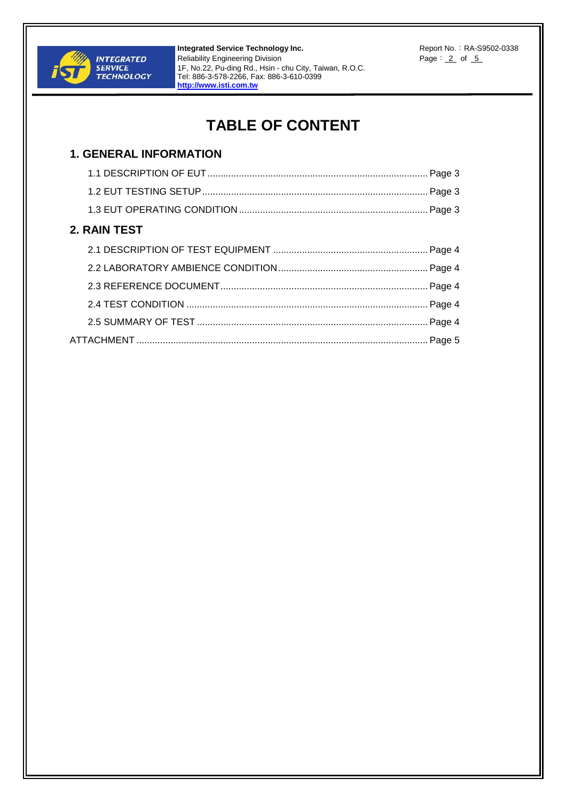

**Integrated Service Technology Inc.** And The Report No.: RA-S9502-0338 Reliability Engineering Division **Page: 2 of 5** 1F, No.22, Pu-ding Rd., Hsin - chu City, Taiwan, R.O.C. Tel: 886-3-578-2266, Fax: 886-3-610-0399 **http://www.isti.com.tw**

## **TABLE OF CONTENT**

## **1. GENERAL INFORMATION**  1.1 DESCRIPTION OF EUT.................................................................................... Page 3 1.2 EUT TESTING SETUP...................................................................................... Page 3 1.3 EUT OPERATING CONDITION ........................................................................ Page 3 **2. RAIN TEST**  2.1 DESCRIPTION OF TEST EQUIPMENT ........................................................... Page 4 2.2 LABORATORY AMBIENCE CONDITION......................................................... Page 4 2.3 REFERENCE DOCUMENT............................................................................... Page 4 2.4 TEST CONDITION ............................................................................................ Page 4 2.5 SUMMARY OF TEST ........................................................................................ Page 4 ATTACHMENT ............................................................................................................... Page 5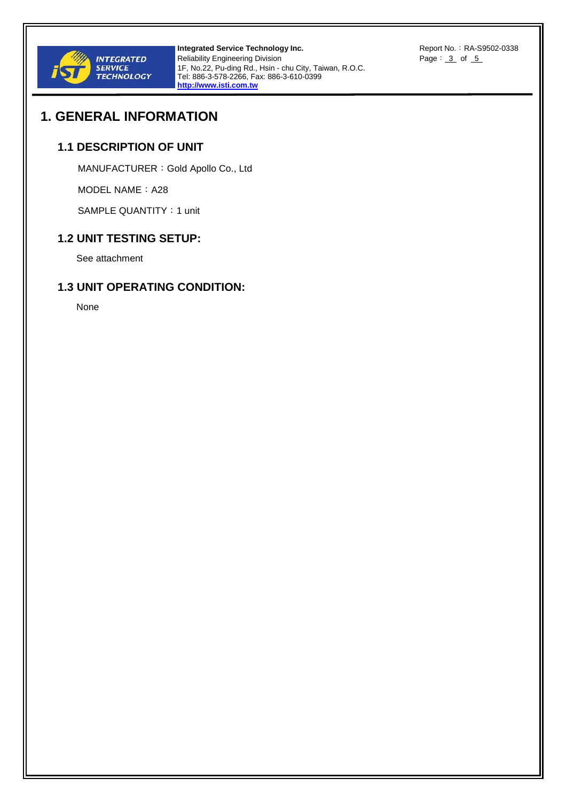

**Integrated Service Technology Inc.** And The Report No.: RA-S9502-0338 Reliability Engineering Division **Page:** 3 of 5 1F, No.22, Pu-ding Rd., Hsin - chu City, Taiwan, R.O.C. Tel: 886-3-578-2266, Fax: 886-3-610-0399 **http://www.isti.com.tw**

## **1. GENERAL INFORMATION**

#### **1.1 DESCRIPTION OF UNIT**

MANUFACTURER:Gold Apollo Co., Ltd

MODEL NAME: A28

SAMPLE QUANTITY: 1 unit

#### **1.2 UNIT TESTING SETUP:**

See attachment

#### **1.3 UNIT OPERATING CONDITION:**

None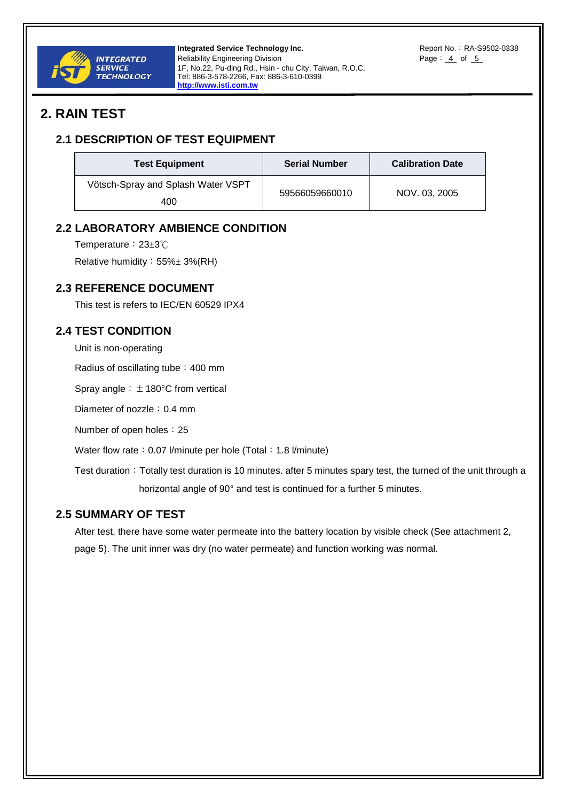

**Integrated Service Technology Inc.** And The Report No.: RA-S9502-0338 Reliability Engineering Division **Page: 4 of 5** 1F, No.22, Pu-ding Rd., Hsin - chu City, Taiwan, R.O.C. Tel: 886-3-578-2266, Fax: 886-3-610-0399 **http://www.isti.com.tw**

## **2. RAIN TEST**

### **2.1 DESCRIPTION OF TEST EQUIPMENT**

| <b>Test Equipment</b>                     | <b>Serial Number</b> | <b>Calibration Date</b> |
|-------------------------------------------|----------------------|-------------------------|
| Vötsch-Spray and Splash Water VSPT<br>400 | 59566059660010       | NOV. 03. 2005           |

#### **2.2 LABORATORY AMBIENCE CONDITION**

Temperature: 23±3℃

Relative humidity:55%± 3%(RH)

#### **2.3 REFERENCE DOCUMENT**

This test is refers to IEC/EN 60529 IPX4

#### **2.4 TEST CONDITION**

Unit is non-operating

Radius of oscillating tube: 400 mm

Spray angle:  $\pm$  180°C from vertical

Diameter of nozzle: 0.4 mm

Number of open holes: 25

Water flow rate: 0.07 l/minute per hole (Total: 1.8 l/minute)

Test duration: Totally test duration is 10 minutes. after 5 minutes spary test, the turned of the unit through a horizontal angle of 90° and test is continued for a further 5 minutes.

#### **2.5 SUMMARY OF TEST**

After test, there have some water permeate into the battery location by visible check (See attachment 2, page 5). The unit inner was dry (no water permeate) and function working was normal.